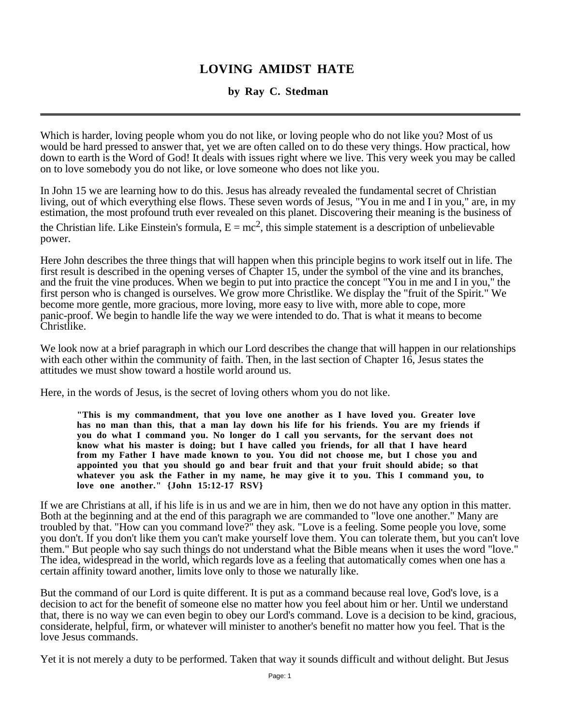## **LOVING AMIDST HATE**

## **by Ray C. Stedman**

Which is harder, loving people whom you do not like, or loving people who do not like you? Most of us would be hard pressed to answer that, yet we are often called on to do these very things. How practical, how down to earth is the Word of God! It deals with issues right where we live. This very week you may be called on to love somebody you do not like, or love someone who does not like you.

In John 15 we are learning how to do this. Jesus has already revealed the fundamental secret of Christian living, out of which everything else flows. These seven words of Jesus, "You in me and I in you," are, in my estimation, the most profound truth ever revealed on this planet. Discovering their meaning is the business of the Christian life. Like Einstein's formula,  $E = mc^2$ , this simple statement is a description of unbelievable power.

Here John describes the three things that will happen when this principle begins to work itself out in life. The first result is described in the opening verses of Chapter 15, under the symbol of the vine and its branches, and the fruit the vine produces. When we begin to put into practice the concept "You in me and I in you," the first person who is changed is ourselves. We grow more Christlike. We display the "fruit of the Spirit." We become more gentle, more gracious, more loving, more easy to live with, more able to cope, more panic-proof. We begin to handle life the way we were intended to do. That is what it means to become Christlike.

We look now at a brief paragraph in which our Lord describes the change that will happen in our relationships with each other within the community of faith. Then, in the last section of Chapter 16, Jesus states the attitudes we must show toward a hostile world around us.

Here, in the words of Jesus, is the secret of loving others whom you do not like.

**"This is my commandment, that you love one another as I have loved you. Greater love has no man than this, that a man lay down his life for his friends. You are my friends if you do what I command you. No longer do I call you servants, for the servant does not know what his master is doing; but I have called you friends, for all that I have heard from my Father I have made known to you. You did not choose me, but I chose you and appointed you that you should go and bear fruit and that your fruit should abide; so that whatever you ask the Father in my name, he may give it to you. This I command you, to love one another." {John 15:12-17 RSV}**

If we are Christians at all, if his life is in us and we are in him, then we do not have any option in this matter. Both at the beginning and at the end of this paragraph we are commanded to "love one another." Many are troubled by that. "How can you command love?" they ask. "Love is a feeling. Some people you love, some you don't. If you don't like them you can't make yourself love them. You can tolerate them, but you can't love them." But people who say such things do not understand what the Bible means when it uses the word "love." The idea, widespread in the world, which regards love as a feeling that automatically comes when one has a certain affinity toward another, limits love only to those we naturally like.

But the command of our Lord is quite different. It is put as a command because real love, God's love, is a decision to act for the benefit of someone else no matter how you feel about him or her. Until we understand that, there is no way we can even begin to obey our Lord's command. Love is a decision to be kind, gracious, considerate, helpful, firm, or whatever will minister to another's benefit no matter how you feel. That is the love Jesus commands.

Yet it is not merely a duty to be performed. Taken that way it sounds difficult and without delight. But Jesus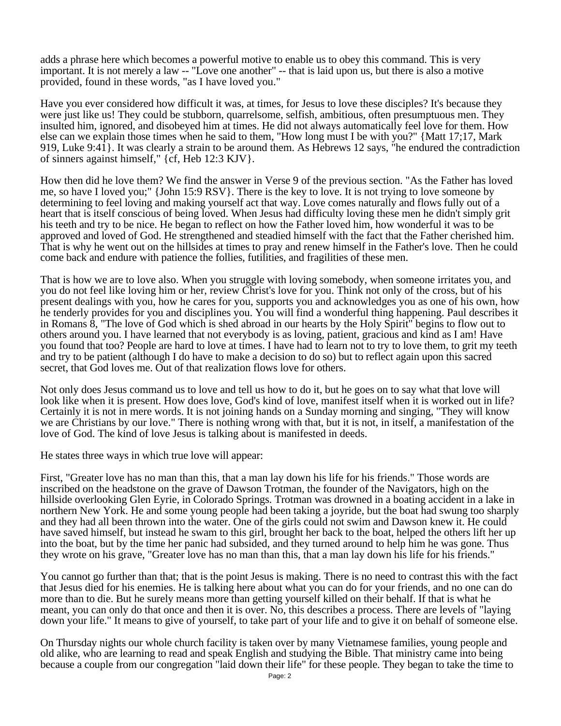adds a phrase here which becomes a powerful motive to enable us to obey this command. This is very important. It is not merely a law -- "Love one another" -- that is laid upon us, but there is also a motive provided, found in these words, "as I have loved you."

Have you ever considered how difficult it was, at times, for Jesus to love these disciples? It's because they were just like us! They could be stubborn, quarrelsome, selfish, ambitious, often presumptuous men. They insulted him, ignored, and disobeyed him at times. He did not always automatically feel love for them. How else can we explain those times when he said to them, "How long must I be with you?" {Matt 17;17, Mark 919, Luke 9:41}. It was clearly a strain to be around them. As Hebrews 12 says, "he endured the contradiction of sinners against himself," {cf, Heb 12:3 KJV}.

How then did he love them? We find the answer in Verse 9 of the previous section. "As the Father has loved me, so have I loved you;" {John 15:9 RSV}. There is the key to love. It is not trying to love someone by determining to feel loving and making yourself act that way. Love comes naturally and flows fully out of a heart that is itself conscious of being loved. When Jesus had difficulty loving these men he didn't simply grit his teeth and try to be nice. He began to reflect on how the Father loved him, how wonderful it was to be approved and loved of God. He strengthened and steadied himself with the fact that the Father cherished him. That is why he went out on the hillsides at times to pray and renew himself in the Father's love. Then he could come back and endure with patience the follies, futilities, and fragilities of these men.

That is how we are to love also. When you struggle with loving somebody, when someone irritates you, and you do not feel like loving him or her, review Christ's love for you. Think not only of the cross, but of his present dealings with you, how he cares for you, supports you and acknowledges you as one of his own, how he tenderly provides for you and disciplines you. You will find a wonderful thing happening. Paul describes it in Romans 8, "The love of God which is shed abroad in our hearts by the Holy Spirit" begins to flow out to others around you. I have learned that not everybody is as loving, patient, gracious and kind as I am! Have you found that too? People are hard to love at times. I have had to learn not to try to love them, to grit my teeth and try to be patient (although I do have to make a decision to do so) but to reflect again upon this sacred secret, that God loves me. Out of that realization flows love for others.

Not only does Jesus command us to love and tell us how to do it, but he goes on to say what that love will look like when it is present. How does love, God's kind of love, manifest itself when it is worked out in life? Certainly it is not in mere words. It is not joining hands on a Sunday morning and singing, "They will know we are Christians by our love." There is nothing wrong with that, but it is not, in itself, a manifestation of the love of God. The kind of love Jesus is talking about is manifested in deeds.

He states three ways in which true love will appear:

First, "Greater love has no man than this, that a man lay down his life for his friends." Those words are inscribed on the headstone on the grave of Dawson Trotman, the founder of the Navigators, high on the hillside overlooking Glen Eyrie, in Colorado Springs. Trotman was drowned in a boating accident in a lake in northern New York. He and some young people had been taking a joyride, but the boat had swung too sharply and they had all been thrown into the water. One of the girls could not swim and Dawson knew it. He could have saved himself, but instead he swam to this girl, brought her back to the boat, helped the others lift her up into the boat, but by the time her panic had subsided, and they turned around to help him he was gone. Thus they wrote on his grave, "Greater love has no man than this, that a man lay down his life for his friends."

You cannot go further than that; that is the point Jesus is making. There is no need to contrast this with the fact that Jesus died for his enemies. He is talking here about what you can do for your friends, and no one can do more than to die. But he surely means more than getting yourself killed on their behalf. If that is what he meant, you can only do that once and then it is over. No, this describes a process. There are levels of "laying down your life." It means to give of yourself, to take part of your life and to give it on behalf of someone else.

On Thursday nights our whole church facility is taken over by many Vietnamese families, young people and old alike, who are learning to read and speak English and studying the Bible. That ministry came into being because a couple from our congregation "laid down their life" for these people. They began to take the time to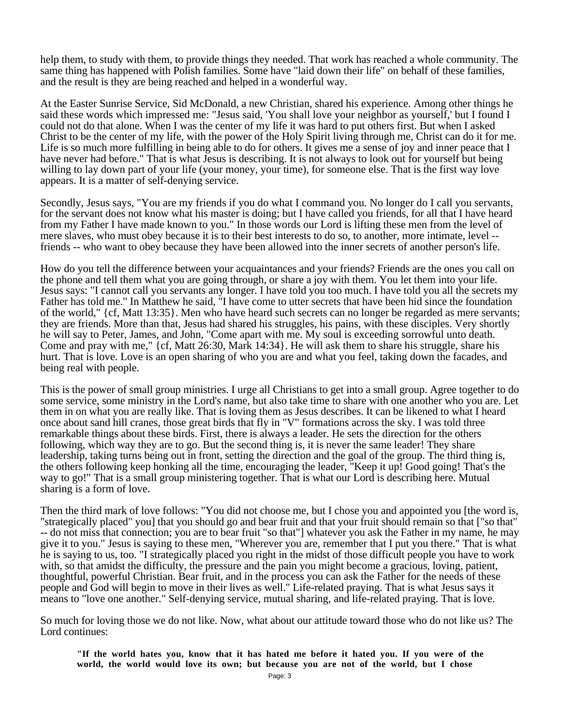help them, to study with them, to provide things they needed. That work has reached a whole community. The same thing has happened with Polish families. Some have "laid down their life" on behalf of these families, and the result is they are being reached and helped in a wonderful way.

At the Easter Sunrise Service, Sid McDonald, a new Christian, shared his experience. Among other things he said these words which impressed me: "Jesus said, 'You shall love your neighbor as yourself,' but I found I could not do that alone. When I was the center of my life it was hard to put others first. But when I asked Christ to be the center of my life, with the power of the Holy Spirit living through me, Christ can do it for me. Life is so much more fulfilling in being able to do for others. It gives me a sense of joy and inner peace that I have never had before." That is what Jesus is describing. It is not always to look out for yourself but being willing to lay down part of your life (your money, your time), for someone else. That is the first way love appears. It is a matter of self-denying service.

Secondly, Jesus says, "You are my friends if you do what I command you. No longer do I call you servants, for the servant does not know what his master is doing; but I have called you friends, for all that I have heard from my Father I have made known to you." In those words our Lord is lifting these men from the level of mere slaves, who must obey because it is to their best interests to do so, to another, more intimate, level - friends -- who want to obey because they have been allowed into the inner secrets of another person's life.

How do you tell the difference between your acquaintances and your friends? Friends are the ones you call on the phone and tell them what you are going through, or share a joy with them. You let them into your life. Jesus says: "I cannot call you servants any longer. I have told you too much. I have told you all the secrets my Father has told me." In Matthew he said, "I have come to utter secrets that have been hid since the foundation of the world," {cf, Matt 13:35}. Men who have heard such secrets can no longer be regarded as mere servants; they are friends. More than that, Jesus had shared his struggles, his pains, with these disciples. Very shortly he will say to Peter, James, and John, "Come apart with me. My soul is exceeding sorrowful unto death. Come and pray with me," {cf, Matt 26:30, Mark 14:34}. He will ask them to share his struggle, share his hurt. That is love. Love is an open sharing of who you are and what you feel, taking down the facades, and being real with people.

This is the power of small group ministries. I urge all Christians to get into a small group. Agree together to do some service, some ministry in the Lord's name, but also take time to share with one another who you are. Let them in on what you are really like. That is loving them as Jesus describes. It can be likened to what I heard once about sand hill cranes, those great birds that fly in "V" formations across the sky. I was told three remarkable things about these birds. First, there is always a leader. He sets the direction for the others following, which way they are to go. But the second thing is, it is never the same leader! They share leadership, taking turns being out in front, setting the direction and the goal of the group. The third thing is, the others following keep honking all the time, encouraging the leader, "Keep it up! Good going! That's the way to go!" That is a small group ministering together. That is what our Lord is describing here. Mutual sharing is a form of love.

Then the third mark of love follows: "You did not choose me, but I chose you and appointed you [the word is, "strategically placed" you] that you should go and bear fruit and that your fruit should remain so that ["so that" -- do not miss that connection; you are to bear fruit "so that"] whatever you ask the Father in my name, he may give it to you." Jesus is saying to these men, "Wherever you are, remember that I put you there." That is what he is saying to us, too. "I strategically placed you right in the midst of those difficult people you have to work with, so that amidst the difficulty, the pressure and the pain you might become a gracious, loving, patient, thoughtful, powerful Christian. Bear fruit, and in the process you can ask the Father for the needs of these people and God will begin to move in their lives as well." Life-related praying. That is what Jesus says it means to "love one another." Self-denying service, mutual sharing, and life-related praying. That is love.

So much for loving those we do not like. Now, what about our attitude toward those who do not like us? The Lord continues:

**"If the world hates you, know that it has hated me before it hated you. If you were of the world, the world would love its own; but because you are not of the world, but I chose**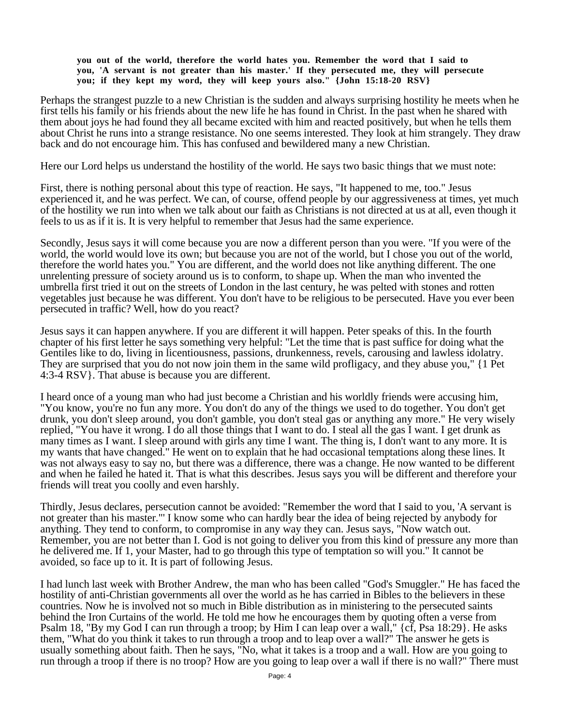## **you out of the world, therefore the world hates you. Remember the word that I said to you, 'A servant is not greater than his master.' If they persecuted me, they will persecute you; if they kept my word, they will keep yours also." {John 15:18-20 RSV}**

Perhaps the strangest puzzle to a new Christian is the sudden and always surprising hostility he meets when he first tells his family or his friends about the new life he has found in Christ. In the past when he shared with them about joys he had found they all became excited with him and reacted positively, but when he tells them about Christ he runs into a strange resistance. No one seems interested. They look at him strangely. They draw back and do not encourage him. This has confused and bewildered many a new Christian.

Here our Lord helps us understand the hostility of the world. He says two basic things that we must note:

First, there is nothing personal about this type of reaction. He says, "It happened to me, too." Jesus experienced it, and he was perfect. We can, of course, offend people by our aggressiveness at times, yet much of the hostility we run into when we talk about our faith as Christians is not directed at us at all, even though it feels to us as if it is. It is very helpful to remember that Jesus had the same experience.

Secondly, Jesus says it will come because you are now a different person than you were. "If you were of the world, the world would love its own; but because you are not of the world, but I chose you out of the world, therefore the world hates you." You are different, and the world does not like anything different. The one unrelenting pressure of society around us is to conform, to shape up. When the man who invented the umbrella first tried it out on the streets of London in the last century, he was pelted with stones and rotten vegetables just because he was different. You don't have to be religious to be persecuted. Have you ever been persecuted in traffic? Well, how do you react?

Jesus says it can happen anywhere. If you are different it will happen. Peter speaks of this. In the fourth chapter of his first letter he says something very helpful: "Let the time that is past suffice for doing what the Gentiles like to do, living in licentiousness, passions, drunkenness, revels, carousing and lawless idolatry. They are surprised that you do not now join them in the same wild profligacy, and they abuse you," {1 Pet 4:3-4 RSV}. That abuse is because you are different.

I heard once of a young man who had just become a Christian and his worldly friends were accusing him, "You know, you're no fun any more. You don't do any of the things we used to do together. You don't get drunk, you don't sleep around, you don't gamble, you don't steal gas or anything any more." He very wisely replied, "You have it wrong. I do all those things that I want to do. I steal all the gas I want. I get drunk as many times as I want. I sleep around with girls any time I want. The thing is, I don't want to any more. It is my wants that have changed." He went on to explain that he had occasional temptations along these lines. It was not always easy to say no, but there was a difference, there was a change. He now wanted to be different and when he failed he hated it. That is what this describes. Jesus says you will be different and therefore your friends will treat you coolly and even harshly.

Thirdly, Jesus declares, persecution cannot be avoided: "Remember the word that I said to you, 'A servant is not greater than his master."' I know some who can hardly bear the idea of being rejected by anybody for anything. They tend to conform, to compromise in any way they can. Jesus says, "Now watch out. Remember, you are not better than I. God is not going to deliver you from this kind of pressure any more than he delivered me. If 1, your Master, had to go through this type of temptation so will you." It cannot be avoided, so face up to it. It is part of following Jesus.

I had lunch last week with Brother Andrew, the man who has been called "God's Smuggler." He has faced the hostility of anti-Christian governments all over the world as he has carried in Bibles to the believers in these countries. Now he is involved not so much in Bible distribution as in ministering to the persecuted saints behind the Iron Curtains of the world. He told me how he encourages them by quoting often a verse from Psalm 18, "By my God I can run through a troop; by Him I can leap over a wall," {cf, Psa 18:29}. He asks them, "What do you think it takes to run through a troop and to leap over a wall?" The answer he gets is usually something about faith. Then he says, "No, what it takes is a troop and a wall. How are you going to run through a troop if there is no troop? How are you going to leap over a wall if there is no wall?" There must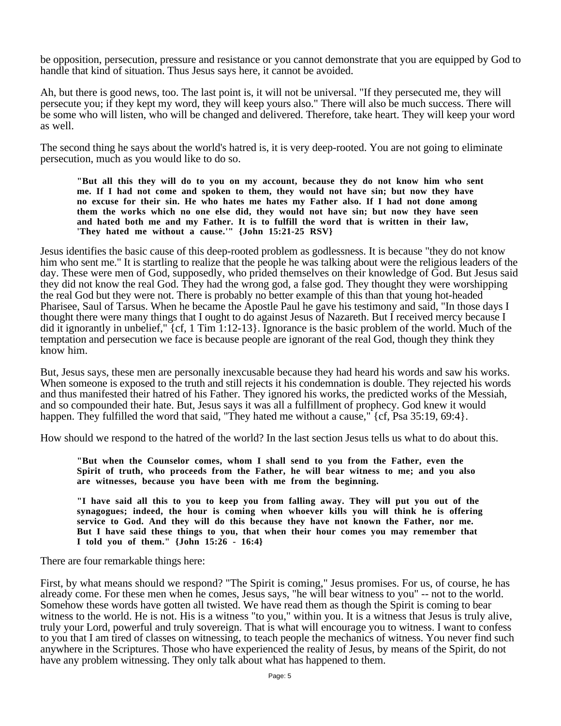be opposition, persecution, pressure and resistance or you cannot demonstrate that you are equipped by God to handle that kind of situation. Thus Jesus says here, it cannot be avoided.

Ah, but there is good news, too. The last point is, it will not be universal. "If they persecuted me, they will persecute you; if they kept my word, they will keep yours also." There will also be much success. There will be some who will listen, who will be changed and delivered. Therefore, take heart. They will keep your word as well.

The second thing he says about the world's hatred is, it is very deep-rooted. You are not going to eliminate persecution, much as you would like to do so.

**"But all this they will do to you on my account, because they do not know him who sent me. If I had not come and spoken to them, they would not have sin; but now they have no excuse for their sin. He who hates me hates my Father also. If I had not done among them the works which no one else did, they would not have sin; but now they have seen and hated both me and my Father. It is to fulfill the word that is written in their law, 'They hated me without a cause.'" {John 15:21-25 RSV}**

Jesus identifies the basic cause of this deep-rooted problem as godlessness. It is because "they do not know him who sent me." It is startling to realize that the people he was talking about were the religious leaders of the day. These were men of God, supposedly, who prided themselves on their knowledge of God. But Jesus said they did not know the real God. They had the wrong god, a false god. They thought they were worshipping the real God but they were not. There is probably no better example of this than that young hot-headed Pharisee, Saul of Tarsus. When he became the Apostle Paul he gave his testimony and said, "In those days I thought there were many things that I ought to do against Jesus of Nazareth. But I received mercy because I did it ignorantly in unbelief," {cf, 1 Tim 1:12-13}. Ignorance is the basic problem of the world. Much of the temptation and persecution we face is because people are ignorant of the real God, though they think they know him.

But, Jesus says, these men are personally inexcusable because they had heard his words and saw his works. When someone is exposed to the truth and still rejects it his condemnation is double. They rejected his words and thus manifested their hatred of his Father. They ignored his works, the predicted works of the Messiah, and so compounded their hate. But, Jesus says it was all a fulfillment of prophecy. God knew it would happen. They fulfilled the word that said, "They hated me without a cause," {cf, Psa 35:19, 69:4}.

How should we respond to the hatred of the world? In the last section Jesus tells us what to do about this.

**"But when the Counselor comes, whom I shall send to you from the Father, even the Spirit of truth, who proceeds from the Father, he will bear witness to me; and you also are witnesses, because you have been with me from the beginning.** 

**"I have said all this to you to keep you from falling away. They will put you out of the synagogues; indeed, the hour is coming when whoever kills you will think he is offering service to God. And they will do this because they have not known the Father, nor me. But I have said these things to you, that when their hour comes you may remember that I told you of them." {John 15:26 - 16:4}**

There are four remarkable things here:

First, by what means should we respond? "The Spirit is coming," Jesus promises. For us, of course, he has already come. For these men when he comes, Jesus says, "he will bear witness to you" -- not to the world. Somehow these words have gotten all twisted. We have read them as though the Spirit is coming to bear witness to the world. He is not. His is a witness "to you," within you. It is a witness that Jesus is truly alive, truly your Lord, powerful and truly sovereign. That is what will encourage you to witness. I want to confess to you that I am tired of classes on witnessing, to teach people the mechanics of witness. You never find such anywhere in the Scriptures. Those who have experienced the reality of Jesus, by means of the Spirit, do not have any problem witnessing. They only talk about what has happened to them.